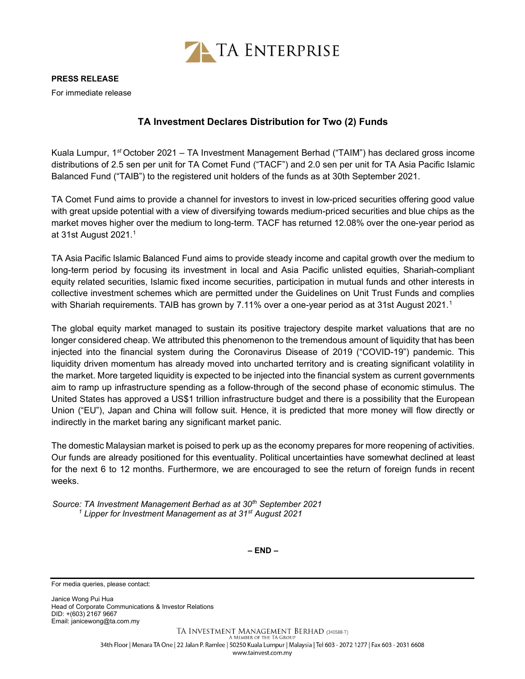

For immediate release

## TA Investment Declares Distribution for Two (2) Funds

Kuala Lumpur, 1st October 2021 – TA Investment Management Berhad ("TAIM") has declared gross income distributions of 2.5 sen per unit for TA Comet Fund ("TACF") and 2.0 sen per unit for TA Asia Pacific Islamic Balanced Fund ("TAIB") to the registered unit holders of the funds as at 30th September 2021.

TA Comet Fund aims to provide a channel for investors to invest in low-priced securities offering good value with great upside potential with a view of diversifying towards medium-priced securities and blue chips as the market moves higher over the medium to long-term. TACF has returned 12.08% over the one-year period as at 31st August 2021.<sup>1</sup>

TA Asia Pacific Islamic Balanced Fund aims to provide steady income and capital growth over the medium to long-term period by focusing its investment in local and Asia Pacific unlisted equities, Shariah-compliant equity related securities, Islamic fixed income securities, participation in mutual funds and other interests in collective investment schemes which are permitted under the Guidelines on Unit Trust Funds and complies with Shariah requirements. TAIB has grown by 7.11% over a one-year period as at 31st August 2021.<sup>1</sup>

The global equity market managed to sustain its positive trajectory despite market valuations that are no longer considered cheap. We attributed this phenomenon to the tremendous amount of liquidity that has been injected into the financial system during the Coronavirus Disease of 2019 ("COVID-19") pandemic. This liquidity driven momentum has already moved into uncharted territory and is creating significant volatility in the market. More targeted liquidity is expected to be injected into the financial system as current governments aim to ramp up infrastructure spending as a follow-through of the second phase of economic stimulus. The United States has approved a US\$1 trillion infrastructure budget and there is a possibility that the European Union ("EU"), Japan and China will follow suit. Hence, it is predicted that more money will flow directly or indirectly in the market baring any significant market panic.

The domestic Malaysian market is poised to perk up as the economy prepares for more reopening of activities. Our funds are already positioned for this eventuality. Political uncertainties have somewhat declined at least for the next 6 to 12 months. Furthermore, we are encouraged to see the return of foreign funds in recent weeks.

Source: TA Investment Management Berhad as at 30<sup>th</sup> September 2021 <sup>1</sup> Lipper for Investment Management as at 31st August 2021

 $-$  END  $-$ 

For media queries, please contact:

Janice Wong Pui Hua Head of Corporate Communications & Investor Relations DID: +(603) 2167 9667 Email: janicewong@ta.com.my